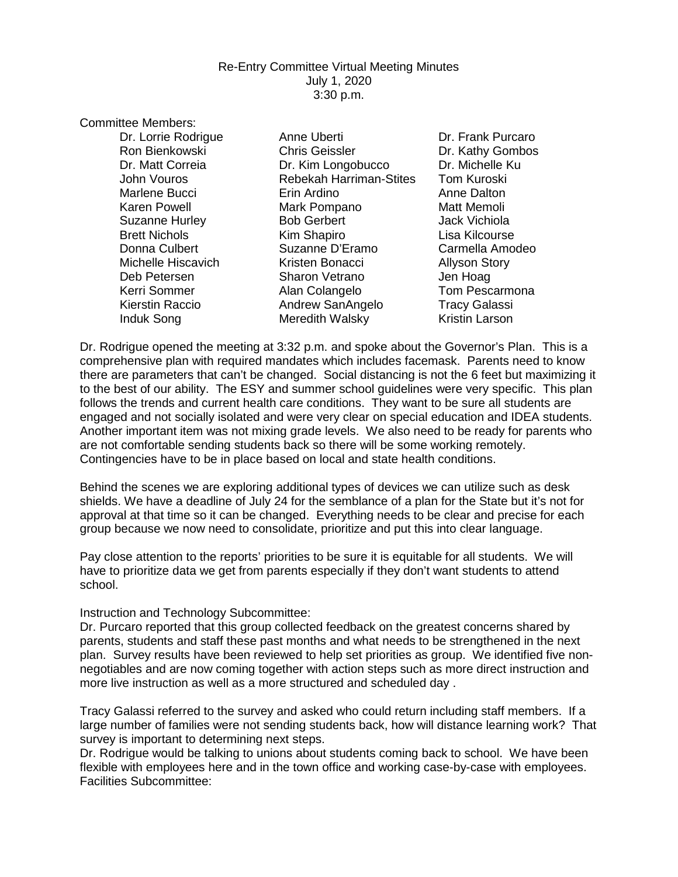#### Re-Entry Committee Virtual Meeting Minutes July 1, 2020 3:30 p.m.

Committee Members:

Dr. Lorrie Rodrigue **Anne Uberti Communist Constructs** Dr. Frank Purcaro Ron Bienkowski Chris Geissler Dr. Kathy Gombos Dr. Kim Longobucco Dr. Michelle Ku<br>Rebekah Harriman-Stites Tom Kuroski John Vouros Rebekah Harriman-Stites Tom Kuroski Marlene Bucci Erin Ardino Anne Dalton Mark Pompano Suzanne Hurley Bob Gerbert Jack Vichiola Brett Nichols **Kim Shapiro** Cisa Kilcourse Donna Culbert Suzanne D'Eramo Carmella Amodeo Michelle Hiscavich **Kristen Bonacci** Allyson Story Deb Petersen Sharon Vetrano Jen Hoag Kerri Sommer Alan Colangelo Tom Pescarmona <br>Kierstin Raccio Andrew SanAngelo Tracy Galassi Andrew SanAngelo Induk Song **Meredith Walsky** Kristin Larson

Dr. Rodrigue opened the meeting at 3:32 p.m. and spoke about the Governor's Plan. This is a comprehensive plan with required mandates which includes facemask. Parents need to know there are parameters that can't be changed. Social distancing is not the 6 feet but maximizing it to the best of our ability. The ESY and summer school guidelines were very specific. This plan follows the trends and current health care conditions. They want to be sure all students are engaged and not socially isolated and were very clear on special education and IDEA students. Another important item was not mixing grade levels. We also need to be ready for parents who are not comfortable sending students back so there will be some working remotely. Contingencies have to be in place based on local and state health conditions.

Behind the scenes we are exploring additional types of devices we can utilize such as desk shields. We have a deadline of July 24 for the semblance of a plan for the State but it's not for approval at that time so it can be changed. Everything needs to be clear and precise for each group because we now need to consolidate, prioritize and put this into clear language.

Pay close attention to the reports' priorities to be sure it is equitable for all students. We will have to prioritize data we get from parents especially if they don't want students to attend school.

### Instruction and Technology Subcommittee:

Dr. Purcaro reported that this group collected feedback on the greatest concerns shared by parents, students and staff these past months and what needs to be strengthened in the next plan. Survey results have been reviewed to help set priorities as group. We identified five nonnegotiables and are now coming together with action steps such as more direct instruction and more live instruction as well as a more structured and scheduled day .

Tracy Galassi referred to the survey and asked who could return including staff members. If a large number of families were not sending students back, how will distance learning work? That survey is important to determining next steps.

Dr. Rodrigue would be talking to unions about students coming back to school. We have been flexible with employees here and in the town office and working case-by-case with employees. Facilities Subcommittee: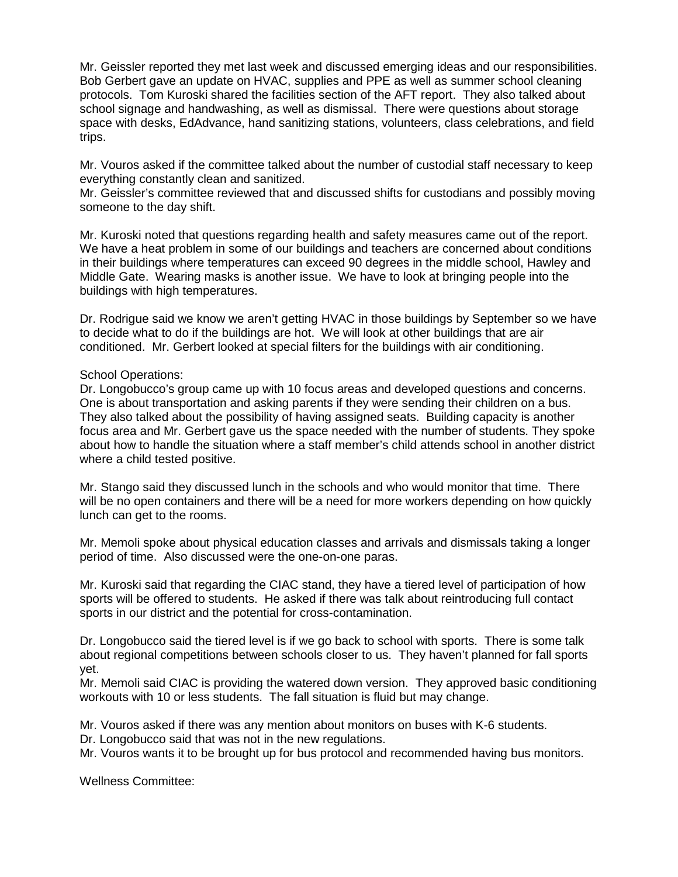Mr. Geissler reported they met last week and discussed emerging ideas and our responsibilities. Bob Gerbert gave an update on HVAC, supplies and PPE as well as summer school cleaning protocols. Tom Kuroski shared the facilities section of the AFT report. They also talked about school signage and handwashing, as well as dismissal. There were questions about storage space with desks, EdAdvance, hand sanitizing stations, volunteers, class celebrations, and field trips.

Mr. Vouros asked if the committee talked about the number of custodial staff necessary to keep everything constantly clean and sanitized.

Mr. Geissler's committee reviewed that and discussed shifts for custodians and possibly moving someone to the day shift.

Mr. Kuroski noted that questions regarding health and safety measures came out of the report. We have a heat problem in some of our buildings and teachers are concerned about conditions in their buildings where temperatures can exceed 90 degrees in the middle school, Hawley and Middle Gate. Wearing masks is another issue. We have to look at bringing people into the buildings with high temperatures.

Dr. Rodrigue said we know we aren't getting HVAC in those buildings by September so we have to decide what to do if the buildings are hot. We will look at other buildings that are air conditioned. Mr. Gerbert looked at special filters for the buildings with air conditioning.

### School Operations:

Dr. Longobucco's group came up with 10 focus areas and developed questions and concerns. One is about transportation and asking parents if they were sending their children on a bus. They also talked about the possibility of having assigned seats. Building capacity is another focus area and Mr. Gerbert gave us the space needed with the number of students. They spoke about how to handle the situation where a staff member's child attends school in another district where a child tested positive.

Mr. Stango said they discussed lunch in the schools and who would monitor that time. There will be no open containers and there will be a need for more workers depending on how quickly lunch can get to the rooms.

Mr. Memoli spoke about physical education classes and arrivals and dismissals taking a longer period of time. Also discussed were the one-on-one paras.

Mr. Kuroski said that regarding the CIAC stand, they have a tiered level of participation of how sports will be offered to students. He asked if there was talk about reintroducing full contact sports in our district and the potential for cross-contamination.

Dr. Longobucco said the tiered level is if we go back to school with sports. There is some talk about regional competitions between schools closer to us. They haven't planned for fall sports yet.

Mr. Memoli said CIAC is providing the watered down version. They approved basic conditioning workouts with 10 or less students. The fall situation is fluid but may change.

Mr. Vouros asked if there was any mention about monitors on buses with K-6 students.

Dr. Longobucco said that was not in the new regulations.

Mr. Vouros wants it to be brought up for bus protocol and recommended having bus monitors.

Wellness Committee: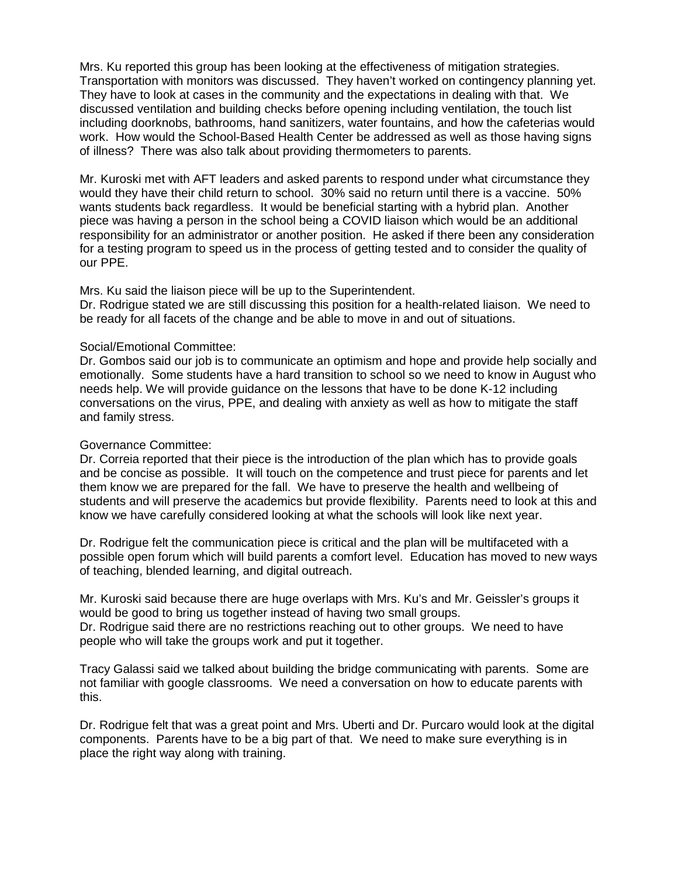Mrs. Ku reported this group has been looking at the effectiveness of mitigation strategies. Transportation with monitors was discussed. They haven't worked on contingency planning yet. They have to look at cases in the community and the expectations in dealing with that. We discussed ventilation and building checks before opening including ventilation, the touch list including doorknobs, bathrooms, hand sanitizers, water fountains, and how the cafeterias would work. How would the School-Based Health Center be addressed as well as those having signs of illness? There was also talk about providing thermometers to parents.

Mr. Kuroski met with AFT leaders and asked parents to respond under what circumstance they would they have their child return to school. 30% said no return until there is a vaccine. 50% wants students back regardless. It would be beneficial starting with a hybrid plan. Another piece was having a person in the school being a COVID liaison which would be an additional responsibility for an administrator or another position. He asked if there been any consideration for a testing program to speed us in the process of getting tested and to consider the quality of our PPE.

Mrs. Ku said the liaison piece will be up to the Superintendent.

Dr. Rodrigue stated we are still discussing this position for a health-related liaison. We need to be ready for all facets of the change and be able to move in and out of situations.

# Social/Emotional Committee:

Dr. Gombos said our job is to communicate an optimism and hope and provide help socially and emotionally. Some students have a hard transition to school so we need to know in August who needs help. We will provide guidance on the lessons that have to be done K-12 including conversations on the virus, PPE, and dealing with anxiety as well as how to mitigate the staff and family stress.

# Governance Committee:

Dr. Correia reported that their piece is the introduction of the plan which has to provide goals and be concise as possible. It will touch on the competence and trust piece for parents and let them know we are prepared for the fall. We have to preserve the health and wellbeing of students and will preserve the academics but provide flexibility. Parents need to look at this and know we have carefully considered looking at what the schools will look like next year.

Dr. Rodrigue felt the communication piece is critical and the plan will be multifaceted with a possible open forum which will build parents a comfort level. Education has moved to new ways of teaching, blended learning, and digital outreach.

Mr. Kuroski said because there are huge overlaps with Mrs. Ku's and Mr. Geissler's groups it would be good to bring us together instead of having two small groups. Dr. Rodrigue said there are no restrictions reaching out to other groups. We need to have

people who will take the groups work and put it together.

Tracy Galassi said we talked about building the bridge communicating with parents. Some are not familiar with google classrooms. We need a conversation on how to educate parents with this.

Dr. Rodrigue felt that was a great point and Mrs. Uberti and Dr. Purcaro would look at the digital components. Parents have to be a big part of that. We need to make sure everything is in place the right way along with training.